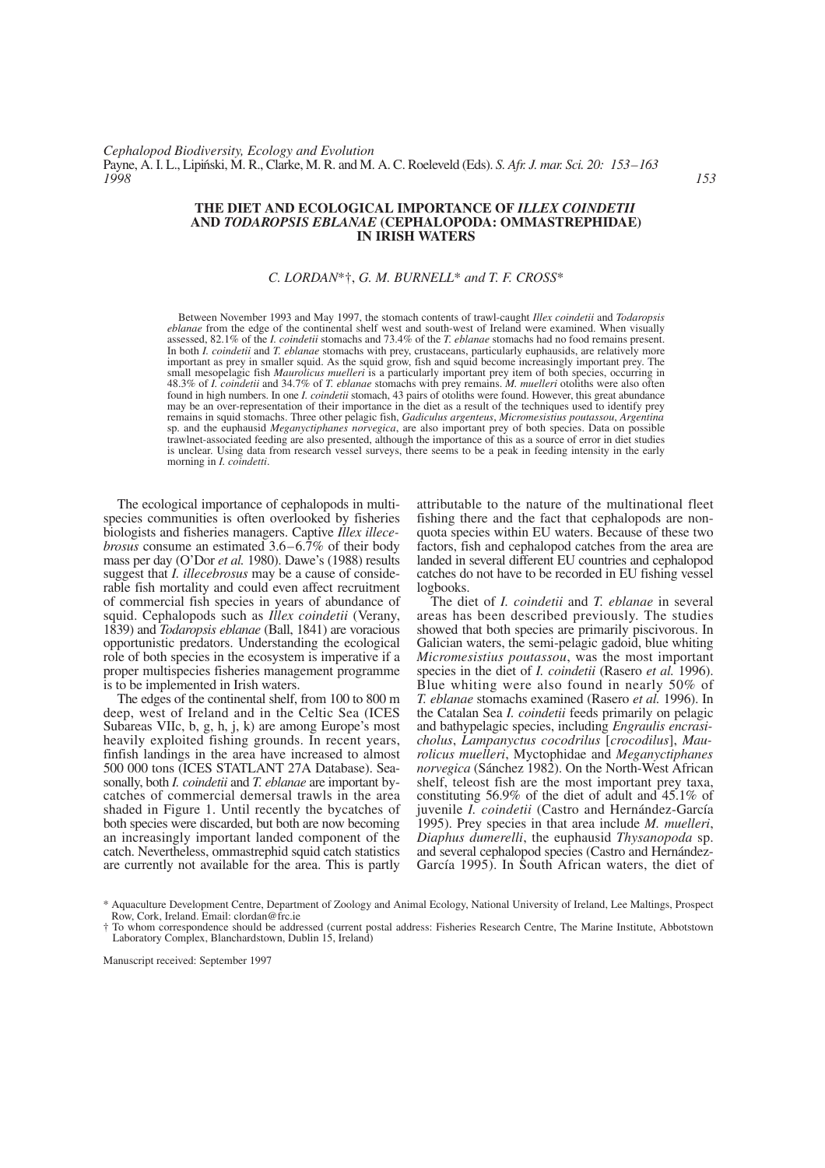### **THE DIET AND ECOLOGICAL IMPORTANCE OF** *ILLEX COINDETII* **AND** *TODAROPSIS EBLANAE* **(CEPHALOPODA: OMMASTREPHIDAE) IN IRISH WATERS**

# *C. LORDAN*\*†, *G. M. BURNELL*\* *and T. F. CROSS*\*

Between November 1993 and May 1997, the stomach contents of trawl-caught *Illex coindetii* and *Todaropsis eblanae* from the edge of the continental shelf west and south-west of Ireland were examined. When visually assessed, 82.1% of the *I. coindetii* stomachs and 73.4% of the *T. eblanae* stomachs had no food remains present. In both *I. coindetii* and *T. eblanae* stomachs with prey, crustaceans, particularly euphausids, are relatively more important as prey in smaller squid. As the squid grow, fish and squid become increasingly important prey. The small mesopelagic fish *Maurolicus muelleri* is a particularly important prey item of both species, occurring in 48.3% of *I. coindetii* and 34.7% of *T. eblanae* stomachs with prey remains. *M. muelleri* otoliths were also often found in high numbers. In one *I. coindetii* stomach, 43 pairs of otoliths were found. However, this great abundance may be an over-representation of their importance in the diet as a result of the techniques used to identify prey remains in squid stomachs. Three other pelagic fish, *Gadiculus argenteus*, *Micromesistius poutassou*, *Argentina* sp. and the euphausid *Meganyctiphanes norvegica*, are also important prey of both species. Data on possible trawlnet-associated feeding are also presented, although the importance of this as a source of error in diet studies is unclear. Using data from research vessel surveys, there seems to be a peak in feeding intensity in the early morning in *I. coindetti*.

The ecological importance of cephalopods in multispecies communities is often overlooked by fisheries biologists and fisheries managers. Captive *Illex illecebrosus* consume an estimated 3.6–6.7% of their body mass per day (O'Dor *et al.* 1980). Dawe's (1988) results suggest that *I. illecebrosus* may be a cause of considerable fish mortality and could even affect recruitment of commercial fish species in years of abundance of squid. Cephalopods such as *Illex coindetii* (Verany, 1839) and *Todaropsis eblanae* (Ball, 1841) are voracious opportunistic predators. Understanding the ecological role of both species in the ecosystem is imperative if a proper multispecies fisheries management programme is to be implemented in Irish waters.

The edges of the continental shelf, from 100 to 800 m deep, west of Ireland and in the Celtic Sea (ICES Subareas VIIc, b, g, h, j, k) are among Europe's most heavily exploited fishing grounds. In recent years, finfish landings in the area have increased to almost 500 000 tons (ICES STATLANT 27A Database). Seasonally, both *I. coindetii* and *T. eblanae* are important bycatches of commercial demersal trawls in the area shaded in Figure 1. Until recently the bycatches of both species were discarded, but both are now becoming an increasingly important landed component of the catch. Nevertheless, ommastrephid squid catch statistics are currently not available for the area. This is partly attributable to the nature of the multinational fleet fishing there and the fact that cephalopods are nonquota species within EU waters. Because of these two factors, fish and cephalopod catches from the area are landed in several different EU countries and cephalopod catches do not have to be recorded in EU fishing vessel logbooks.

The diet of *I. coindetii* and *T. eblanae* in several areas has been described previously. The studies showed that both species are primarily piscivorous. In Galician waters, the semi-pelagic gadoid, blue whiting *Micromesistius poutassou*, was the most important species in the diet of *I. coindetii* (Rasero *et al.* 1996). Blue whiting were also found in nearly 50% of *T. eblanae* stomachs examined (Rasero *et al.* 1996). In the Catalan Sea *I. coindetii* feeds primarily on pelagic and bathypelagic species, including *Engraulis encrasicholus*, *Lampanyctus cocodrilus* [*crocodilus*], *Maurolicus muelleri*, Myctophidae and *Meganyctiphanes norvegica* (Sánchez 1982). On the North-West African shelf, teleost fish are the most important prey taxa, constituting 56.9% of the diet of adult and 45.1% of juvenile *I. coindetii* (Castro and Hernández-García 1995). Prey species in that area include *M. muelleri*, *Diaphus dumerelli*, the euphausid *Thysanopoda* sp. and several cephalopod species (Castro and Hernández-García 1995). In South African waters, the diet of

Manuscript received: September 1997

<sup>\*</sup> Aquaculture Development Centre, Department of Zoology and Animal Ecology, National University of Ireland, Lee Maltings, Prospect Row, Cork, Ireland. Email: clordan@frc.ie

<sup>†</sup> To whom correspondence should be addressed (current postal address: Fisheries Research Centre, The Marine Institute, Abbotstown Laboratory Complex, Blanchardstown, Dublin 15, Ireland)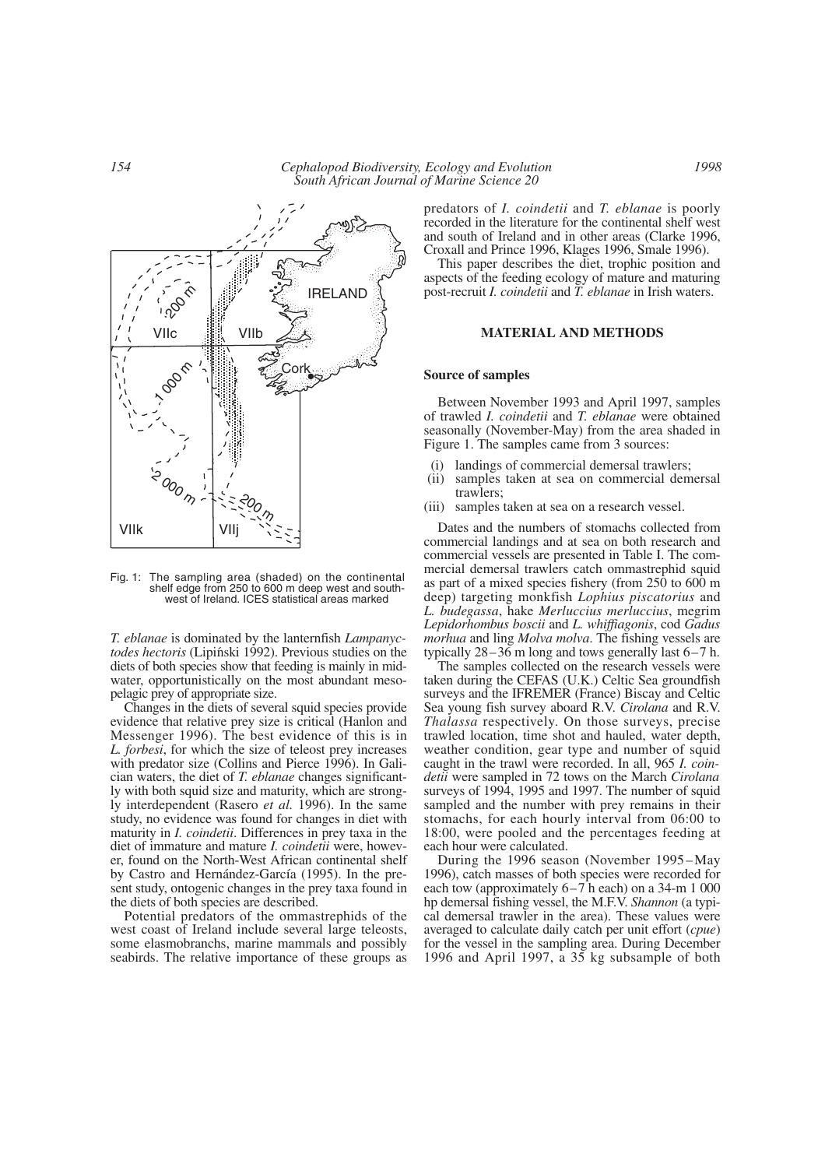

Fig. 1: The sampling area (shaded) on the continental shelf edge from 250 to 600 m deep west and southwest of Ireland. ICES statistical areas marked

*T. eblanae* is dominated by the lanternfish *Lampanyctodes hectoris* (Lipinski 1992). Previous studies on the diets of both species show that feeding is mainly in midwater, opportunistically on the most abundant mesopelagic prey of appropriate size.

Changes in the diets of several squid species provide evidence that relative prey size is critical (Hanlon and Messenger 1996). The best evidence of this is in *L. forbesi*, for which the size of teleost prey increases with predator size (Collins and Pierce 1996). In Galician waters, the diet of *T. eblanae* changes significantly with both squid size and maturity, which are strongly interdependent (Rasero *et al.* 1996). In the same study, no evidence was found for changes in diet with maturity in *I. coindetii*. Differences in prey taxa in the diet of immature and mature *I. coindetii* were, however, found on the North-West African continental shelf by Castro and Hernández-García (1995). In the present study, ontogenic changes in the prey taxa found in the diets of both species are described.

Potential predators of the ommastrephids of the west coast of Ireland include several large teleosts, some elasmobranchs, marine mammals and possibly seabirds. The relative importance of these groups as predators of *I. coindetii* and *T. eblanae* is poorly recorded in the literature for the continental shelf west and south of Ireland and in other areas (Clarke 1996, Croxall and Prince 1996, Klages 1996, Smale 1996).

This paper describes the diet, trophic position and aspects of the feeding ecology of mature and maturing post-recruit *I. coindetii* and *T. eblanae* in Irish waters.

# **MATERIAL AND METHODS**

#### **Source of samples**

Between November 1993 and April 1997, samples of trawled *I. coindetii* and *T. eblanae* were obtained seasonally (November-May) from the area shaded in Figure 1. The samples came from 3 sources:

- (i) landings of commercial demersal trawlers;
- (ii) samples taken at sea on commercial demersal trawlers;
- (iii) samples taken at sea on a research vessel.

Dates and the numbers of stomachs collected from commercial landings and at sea on both research and commercial vessels are presented in Table I. The commercial demersal trawlers catch ommastrephid squid as part of a mixed species fishery (from 250 to 600 m deep) targeting monkfish *Lophius piscatorius* and *L. budegassa*, hake *Merluccius merluccius*, megrim *Lepidorhombus boscii* and *L. whiffiagonis*, cod *Gadus morhua* and ling *Molva molva*. The fishing vessels are typically 28–36 m long and tows generally last 6–7 h.

The samples collected on the research vessels were taken during the CEFAS (U.K.) Celtic Sea groundfish surveys and the IFREMER (France) Biscay and Celtic Sea young fish survey aboard R.V. *Cirolana* and R.V. *Thalassa* respectively. On those surveys, precise trawled location, time shot and hauled, water depth, weather condition, gear type and number of squid caught in the trawl were recorded. In all, 965 *I. coindetii* were sampled in 72 tows on the March *Cirolana* surveys of 1994, 1995 and 1997. The number of squid sampled and the number with prey remains in their stomachs, for each hourly interval from 06:00 to 18:00, were pooled and the percentages feeding at each hour were calculated.

During the 1996 season (November 1995–May 1996), catch masses of both species were recorded for each tow (approximately 6–7 h each) on a 34-m 1 000 hp demersal fishing vessel, the M.F.V. *Shannon* (a typical demersal trawler in the area). These values were averaged to calculate daily catch per unit effort (*cpue*) for the vessel in the sampling area. During December 1996 and April 1997, a 35 kg subsample of both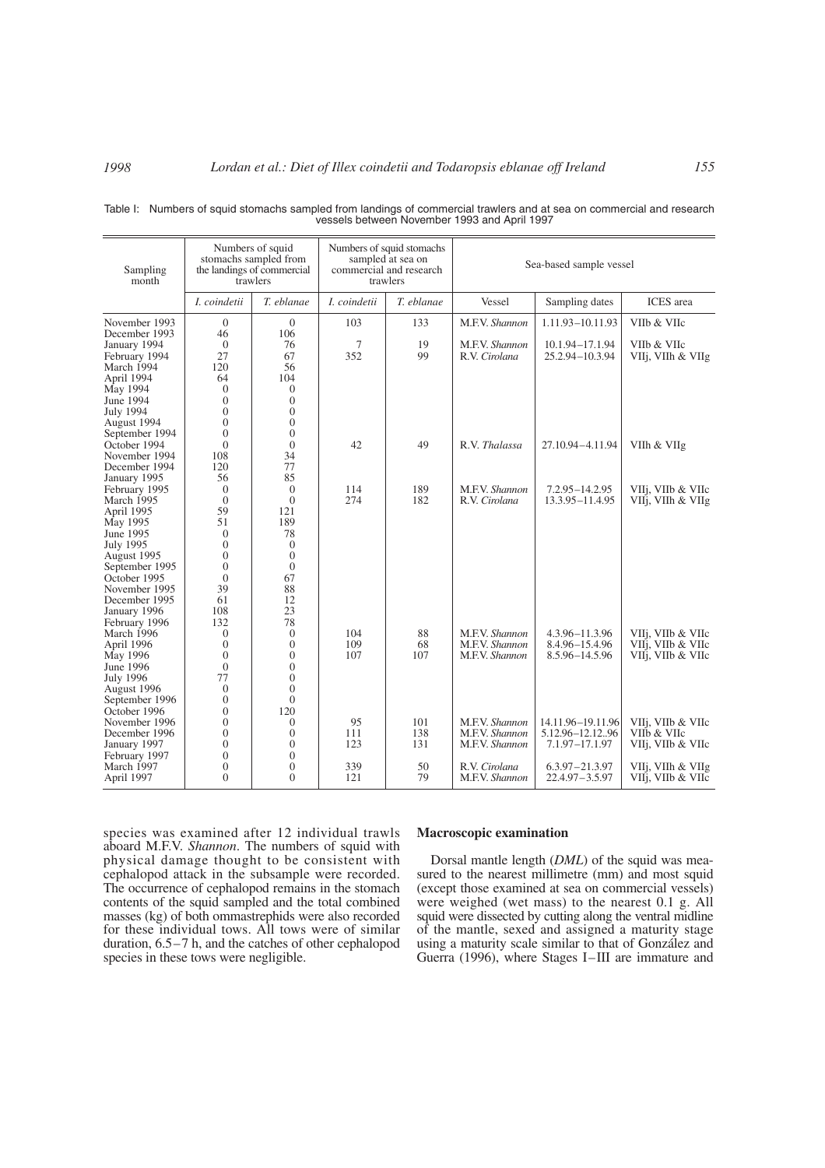| Sampling<br>month | Numbers of squid<br>stomachs sampled from<br>the landings of commercial<br>trawlers |                          | Numbers of squid stomachs<br>sampled at sea on<br>commercial and research<br>trawlers |            | Sea-based sample vessel |                    |                   |
|-------------------|-------------------------------------------------------------------------------------|--------------------------|---------------------------------------------------------------------------------------|------------|-------------------------|--------------------|-------------------|
|                   | I. coindetii                                                                        | T. eblanae               | I. coindetii                                                                          | T. eblanae | Vessel                  | Sampling dates     | <b>ICES</b> area  |
| November 1993     | $\mathbf{0}$                                                                        | $\boldsymbol{0}$         | 103                                                                                   | 133        | M.F.V. Shannon          | 1.11.93-10.11.93   | VIIb & VIIc       |
| December 1993     | 46                                                                                  | 106                      |                                                                                       |            |                         |                    |                   |
| January 1994      | $\overline{0}$                                                                      | 76                       | 7                                                                                     | 19         | M.F.V. Shannon          | 10.1.94-17.1.94    | VIIb & VIIc       |
| February 1994     | 27                                                                                  | 67                       | 352                                                                                   | 99         | R.V. Cirolana           | 25.2.94-10.3.94    | VIIj, VIIh & VIIg |
| March 1994        | 120                                                                                 | 56                       |                                                                                       |            |                         |                    |                   |
| April 1994        | 64                                                                                  | 104                      |                                                                                       |            |                         |                    |                   |
| May 1994          | $\overline{0}$                                                                      | $\overline{0}$           |                                                                                       |            |                         |                    |                   |
| June 1994         | $\overline{0}$                                                                      | $\overline{0}$           |                                                                                       |            |                         |                    |                   |
| <b>July 1994</b>  | $\theta$                                                                            | $\overline{0}$           |                                                                                       |            |                         |                    |                   |
| August 1994       | $\overline{0}$                                                                      | $\overline{0}$           |                                                                                       |            |                         |                    |                   |
| September 1994    | $\overline{0}$                                                                      | $\overline{0}$           |                                                                                       |            |                         |                    |                   |
| October 1994      | $\overline{0}$                                                                      | $\overline{0}$           | 42                                                                                    | 49         | R.V. Thalassa           | 27.10.94-4.11.94   | VIIh & VIIg       |
| November 1994     | 108                                                                                 | 34                       |                                                                                       |            |                         |                    |                   |
| December 1994     | 120                                                                                 | 77                       |                                                                                       |            |                         |                    |                   |
| January 1995      | 56                                                                                  | 85                       |                                                                                       |            |                         |                    |                   |
| February 1995     | $\overline{0}$                                                                      | $\theta$                 | 114                                                                                   | 189        | M.F.V. Shannon          | $7.2.95 - 14.2.95$ | VIIj, VIIb & VIIc |
| March 1995        | $\overline{0}$                                                                      | $\overline{0}$           | 274                                                                                   | 182        | R.V. Cirolana           | 13.3.95-11.4.95    | VIIj, VIIh & VIIg |
| April 1995        | 59                                                                                  | 121                      |                                                                                       |            |                         |                    |                   |
| May 1995          | 51                                                                                  | 189                      |                                                                                       |            |                         |                    |                   |
| June 1995         | $\overline{0}$                                                                      | 78                       |                                                                                       |            |                         |                    |                   |
| July 1995         | $\overline{0}$                                                                      | $\overline{0}$           |                                                                                       |            |                         |                    |                   |
| August 1995       | $\overline{0}$                                                                      | $\overline{0}$           |                                                                                       |            |                         |                    |                   |
| September 1995    | $\overline{0}$                                                                      | $\overline{0}$           |                                                                                       |            |                         |                    |                   |
| October 1995      | $\overline{0}$                                                                      | 67                       |                                                                                       |            |                         |                    |                   |
| November 1995     | 39                                                                                  | 88                       |                                                                                       |            |                         |                    |                   |
| December 1995     | 61                                                                                  | 12                       |                                                                                       |            |                         |                    |                   |
| January 1996      | 108                                                                                 | 23                       |                                                                                       |            |                         |                    |                   |
| February 1996     | 132                                                                                 | 78                       |                                                                                       |            |                         |                    |                   |
| March 1996        | $\overline{0}$                                                                      | $\theta$                 | 104                                                                                   | 88         | M.F.V. Shannon          | 4.3.96-11.3.96     | VIIj, VIIb & VIIc |
| April 1996        | $\overline{0}$                                                                      | $\overline{0}$           | 109                                                                                   | 68         | M.F.V. Shannon          | 8.4.96-15.4.96     | VIII. VIIb & VIIc |
| May 1996          | $\overline{0}$                                                                      | $\overline{0}$           | 107                                                                                   | 107        | M.F.V. Shannon          | 8.5.96-14.5.96     | VIIj, VIIb & VIIc |
| June 1996         | $\Omega$                                                                            | $\theta$                 |                                                                                       |            |                         |                    |                   |
| <b>July 1996</b>  | 77                                                                                  | $\overline{0}$           |                                                                                       |            |                         |                    |                   |
| August 1996       | $\overline{0}$                                                                      | $\overline{0}$           |                                                                                       |            |                         |                    |                   |
| September 1996    | $\mathbf{0}$                                                                        | $\mathbf{0}$             |                                                                                       |            |                         |                    |                   |
| October 1996      | $\overline{0}$                                                                      | 120                      |                                                                                       |            |                         |                    |                   |
| November 1996     | $\boldsymbol{0}$                                                                    | $\mathbf{0}$             | 95                                                                                    | 101        | M.F.V. Shannon          | 14.11.96-19.11.96  | VIIj, VIIb & VIIc |
| December 1996     | $\overline{0}$                                                                      | $\overline{0}$           | 111                                                                                   | 138        | M.F.V. Shannon          | 5.12.96-12.1296    | VIIb & VIIc       |
| January 1997      | $\boldsymbol{0}$                                                                    | $\mathbf{0}$             | 123                                                                                   | 131        | M.F.V. Shannon          | 7.1.97-17.1.97     | VIIj, VIIb & VIIc |
| February 1997     | $\overline{0}$                                                                      | $\overline{0}$           |                                                                                       |            |                         |                    |                   |
| March 1997        | $\overline{0}$<br>$\theta$                                                          | $\mathbf{0}$<br>$\Omega$ | 339                                                                                   | 50<br>79   | R.V. Cirolana           | $6.3.97 - 21.3.97$ | VIIj, VIIh & VIIg |
| April 1997        |                                                                                     |                          | 121                                                                                   |            | M.F.V. Shannon          | 22.4.97 - 3.5.97   | VIIj, VIIb & VIIc |

| Table I: Numbers of squid stomachs sampled from landings of commercial trawlers and at sea on commercial and research |
|-----------------------------------------------------------------------------------------------------------------------|
| vessels between November 1993 and April 1997                                                                          |

species was examined after 12 individual trawls aboard M.F.V. *Shannon*. The numbers of squid with physical damage thought to be consistent with cephalopod attack in the subsample were recorded. The occurrence of cephalopod remains in the stomach contents of the squid sampled and the total combined masses (kg) of both ommastrephids were also recorded for these individual tows. All tows were of similar duration, 6.5–7 h, and the catches of other cephalopod species in these tows were negligible.

### **Macroscopic examination**

Dorsal mantle length (*DML*) of the squid was measured to the nearest millimetre (mm) and most squid (except those examined at sea on commercial vessels) were weighed (wet mass) to the nearest 0.1 g. All squid were dissected by cutting along the ventral midline of the mantle, sexed and assigned a maturity stage using a maturity scale similar to that of González and Guerra (1996), where Stages I–III are immature and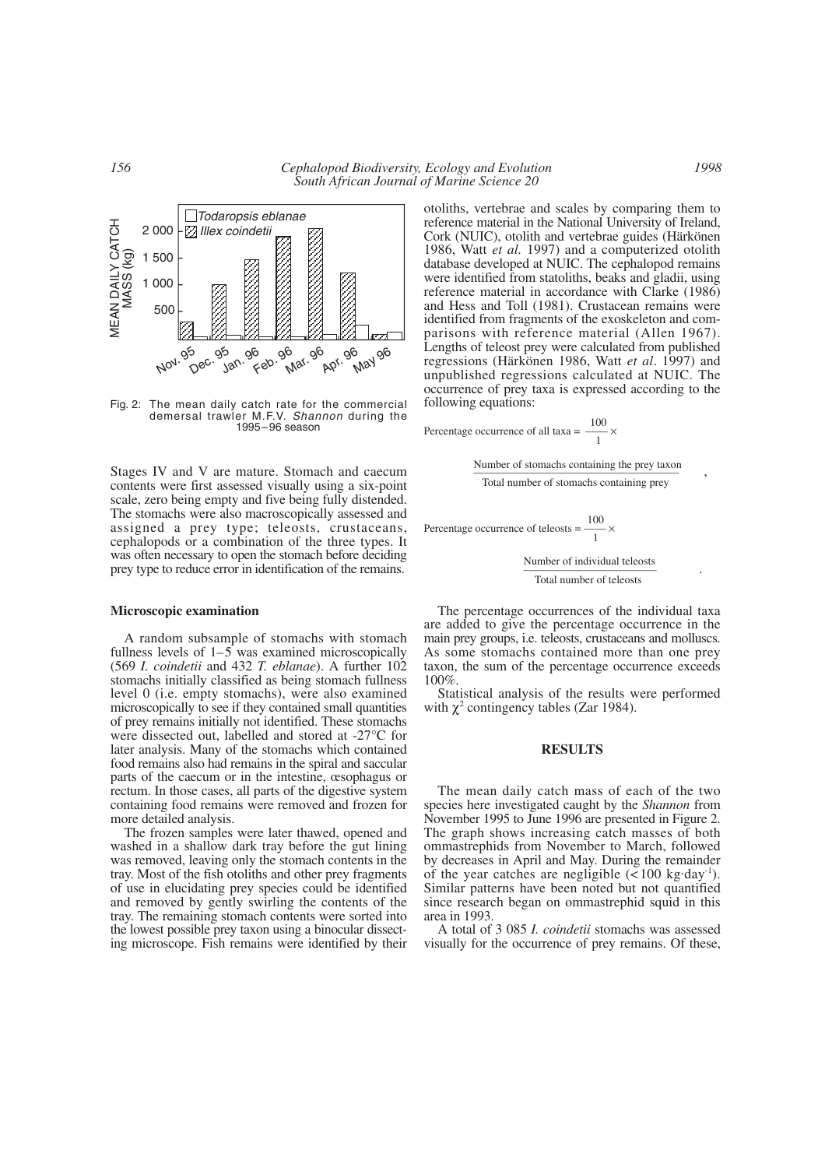

Fig. 2: The mean daily catch rate for the commercial demersal trawler M.F.V. *Shannon* during the 1995–96 season

Stages IV and V are mature. Stomach and caecum contents were first assessed visually using a six-point scale, zero being empty and five being fully distended. The stomachs were also macroscopically assessed and assigned a prey type; teleosts, crustaceans, cephalopods or a combination of the three types. It was often necessary to open the stomach before deciding prey type to reduce error in identification of the remains.

### **Microscopic examination**

A random subsample of stomachs with stomach fullness levels of 1–5 was examined microscopically (569 *I. coindetii* and 432 *T. eblanae*). A further 102 stomachs initially classified as being stomach fullness level 0 (i.e. empty stomachs), were also examined microscopically to see if they contained small quantities of prey remains initially not identified. These stomachs were dissected out, labelled and stored at -27°C for later analysis. Many of the stomachs which contained food remains also had remains in the spiral and saccular parts of the caecum or in the intestine, œsophagus or rectum. In those cases, all parts of the digestive system containing food remains were removed and frozen for more detailed analysis.

The frozen samples were later thawed, opened and washed in a shallow dark tray before the gut lining was removed, leaving only the stomach contents in the tray. Most of the fish otoliths and other prey fragments of use in elucidating prey species could be identified and removed by gently swirling the contents of the tray. The remaining stomach contents were sorted into the lowest possible prey taxon using a binocular dissecting microscope. Fish remains were identified by their otoliths, vertebrae and scales by comparing them to reference material in the National University of Ireland, Cork (NUIC), otolith and vertebrae guides (Härkönen 1986, Watt *et al.* 1997) and a computerized otolith database developed at NUIC. The cephalopod remains were identified from statoliths, beaks and gladii, using reference material in accordance with Clarke (1986) and Hess and Toll (1981). Crustacean remains were identified from fragments of the exoskeleton and comparisons with reference material (Allen 1967). Lengths of teleost prey were calculated from published regressions (Härkönen 1986, Watt *et al*. 1997) and unpublished regressions calculated at NUIC. The occurrence of prey taxa is expressed according to the following equations:

Percentage occurrence of all taxa = 
$$
\frac{100}{1} \times
$$

Number of stomachs containing the prey taxon Total number of stomachs containing prey

Percentage occurrence of teleosts =  $\frac{100}{1}$  ×

Number of individual teleosts –––––––––––––––––––––––– . Total number of teleosts

The percentage occurrences of the individual taxa are added to give the percentage occurrence in the main prey groups, i.e. teleosts, crustaceans and molluscs. As some stomachs contained more than one prey taxon, the sum of the percentage occurrence exceeds 100%.

Statistical analysis of the results were performed with  $\chi^2$  contingency tables (Zar 1984).

#### **RESULTS**

The mean daily catch mass of each of the two species here investigated caught by the *Shannon* from November 1995 to June 1996 are presented in Figure 2. The graph shows increasing catch masses of both ommastrephids from November to March, followed by decreases in April and May. During the remainder of the year catches are negligible  $(< 100 \text{ kg day}^{-1})$ . Similar patterns have been noted but not quantified since research began on ommastrephid squid in this area in 1993.

A total of 3 085 *I. coindetii* stomachs was assessed visually for the occurrence of prey remains. Of these,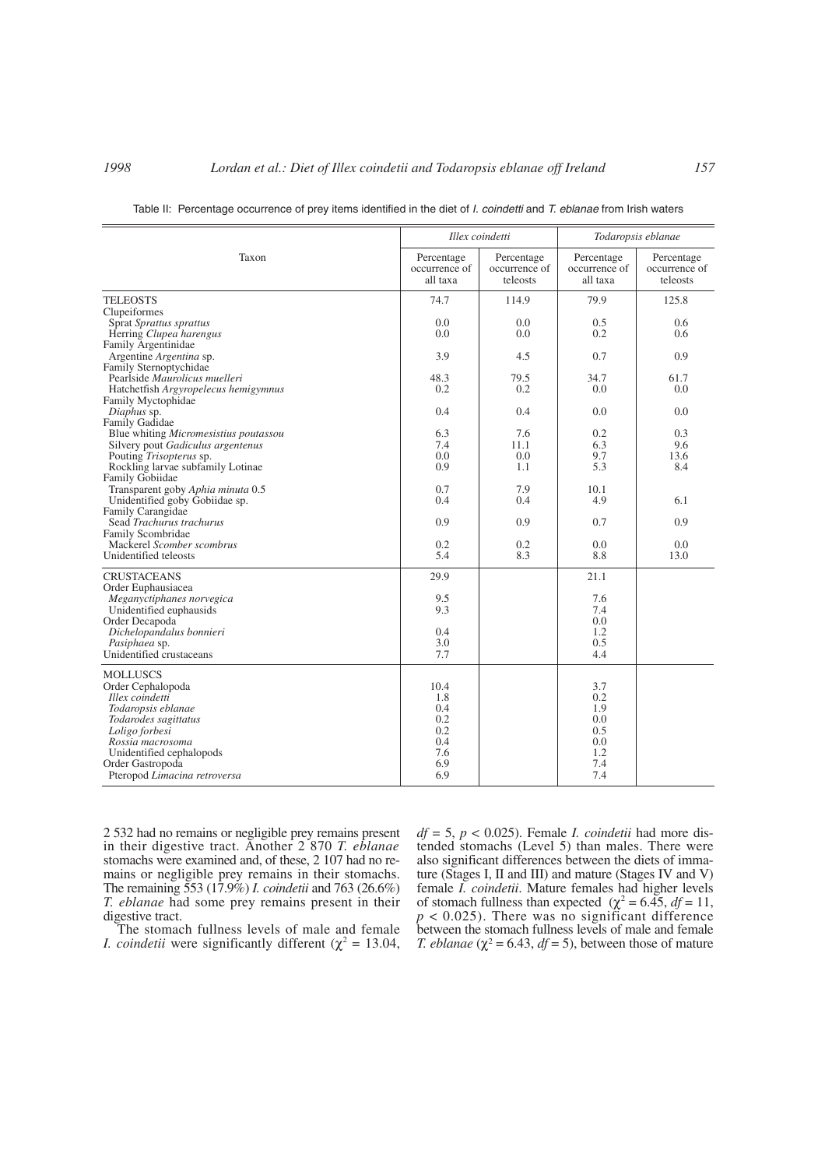|                                                                                                                                                                                                                             |                                                              | Illex coindetti                         | Todaropsis eblanae                                          |                                         |
|-----------------------------------------------------------------------------------------------------------------------------------------------------------------------------------------------------------------------------|--------------------------------------------------------------|-----------------------------------------|-------------------------------------------------------------|-----------------------------------------|
| Taxon                                                                                                                                                                                                                       | Percentage<br>occurrence of<br>all taxa                      | Percentage<br>occurrence of<br>teleosts | Percentage<br>occurrence of<br>all taxa                     | Percentage<br>occurrence of<br>teleosts |
| <b>TELEOSTS</b>                                                                                                                                                                                                             | 74.7                                                         | 114.9                                   | 79.9                                                        | 125.8                                   |
| Clupeiformes<br>Sprat Sprattus sprattus<br>Herring Clupea harengus<br>Family Argentinidae                                                                                                                                   | 0.0<br>$0.0^{\circ}$                                         | 0.0<br>0.0                              | 0.5<br>0.2                                                  | 0.6<br>$0.6^{\circ}$                    |
| Argentine Argentina sp.<br>Family Sternoptychidae                                                                                                                                                                           | 3.9                                                          | 4.5                                     | 0.7                                                         | 0.9                                     |
| Pearlside Maurolicus muelleri<br>Hatchetfish Argyropelecus hemigymnus<br>Family Myctophidae                                                                                                                                 | 48.3<br>0.2                                                  | 79.5<br>0.2                             | 34.7<br>0.0                                                 | 61.7<br>0.0                             |
| Diaphus sp.<br>Family Gadidae                                                                                                                                                                                               | 0.4                                                          | 0.4                                     | 0.0                                                         | 0.0                                     |
| Blue whiting Micromesistius poutassou<br>Silvery pout Gadiculus argentenus<br>Pouting Trisopterus sp.<br>Rockling larvae subfamily Lotinae                                                                                  | 6.3<br>7.4<br>0.0<br>0.9                                     | 7.6<br>11.1<br>$0.0^{\circ}$<br>1.1     | 0.2<br>6.3<br>9.7<br>5.3                                    | 0.3<br>9.6<br>13.6<br>8.4               |
| Family Gobiidae<br>Transparent goby Aphia minuta 0.5<br>Unidentified goby Gobiidae sp.<br>Family Carangidae                                                                                                                 | 0.7<br>0.4                                                   | 7.9<br>0.4                              | 10.1<br>4.9                                                 | 6.1                                     |
| Sead Trachurus trachurus<br>Family Scombridae                                                                                                                                                                               | 0.9                                                          | 0.9                                     | 0.7                                                         | 0.9                                     |
| Mackerel Scomber scombrus<br>Unidentified teleosts                                                                                                                                                                          | 0.2<br>5.4                                                   | 0.2<br>8.3                              | 0.0<br>8.8                                                  | 0.0<br>13.0                             |
| <b>CRUSTACEANS</b><br>Order Euphausiacea                                                                                                                                                                                    | 29.9                                                         |                                         | 21.1                                                        |                                         |
| Meganyctiphanes norvegica<br>Unidentified euphausids<br>Order Decapoda<br>Dichelopandalus bonnieri<br>Pasiphaea sp.                                                                                                         | 9.5<br>9.3<br>0.4<br>3.0                                     |                                         | 7.6<br>7.4<br>0.0<br>1.2<br>0.5                             |                                         |
| Unidentified crustaceans                                                                                                                                                                                                    | 7.7                                                          |                                         | 4.4                                                         |                                         |
| <b>MOLLUSCS</b><br>Order Cephalopoda<br>Illex coindetti<br>Todaropsis eblanae<br>Todarodes sagittatus<br>Loligo forbesi<br>Rossia macrosoma<br>Unidentified cephalopods<br>Order Gastropoda<br>Pteropod Limacina retroversa | 10.4<br>1.8<br>0.4<br>0.2<br>0.2<br>0.4<br>7.6<br>6.9<br>6.9 |                                         | 3.7<br>0.2<br>1.9<br>0.0<br>0.5<br>0.0<br>1.2<br>7.4<br>7.4 |                                         |

Table II: Percentage occurrence of prey items identified in the diet of *I. coindetti* and *T. eblanae* from Irish waters

2 532 had no remains or negligible prey remains present in their digestive tract. Another 2 870 *T. eblanae* stomachs were examined and, of these, 2 107 had no remains or negligible prey remains in their stomachs. The remaining 553 (17.9%) *I. coindetii* and 763 (26.6%) *T. eblanae* had some prey remains present in their digestive tract.

The stomach fullness levels of male and female *I. coindetii* were significantly different ( $\chi^2 = 13.04$ ,

*df* = 5, *p* < 0.025). Female *I. coindetii* had more distended stomachs (Level 5) than males. There were also significant differences between the diets of immature (Stages I, II and III) and mature (Stages IV and V) female *I. coindetii*. Mature females had higher levels of stomach fullness than expected ( $\chi^2 = 6.45$ ,  $df = 11$ ,  $p < 0.025$ ). There was no significant difference between the stomach fullness levels of male and female *T. eblanae* ( $\chi^2$  = 6.43, *df* = 5), between those of mature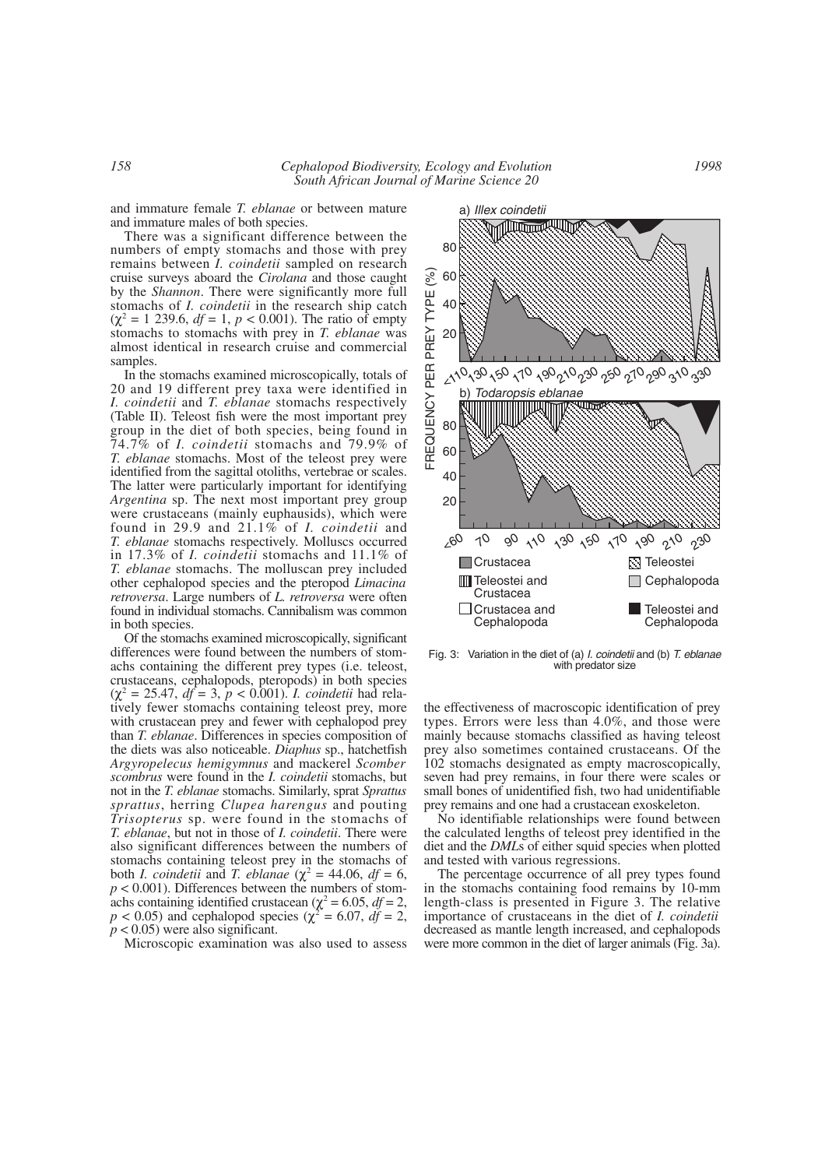a) *Illex coindetii*

and immature female *T. eblanae* or between mature and immature males of both species.

There was a significant difference between the numbers of empty stomachs and those with prey remains between *I. coindetii* sampled on research cruise surveys aboard the *Cirolana* and those caught by the *Shannon*. There were significantly more full stomachs of *I. coindetii* in the research ship catch  $(\chi^2 = 1\ 239.6, df = 1, p < 0.001)$ . The ratio of empty stomachs to stomachs with prey in *T. eblanae* was almost identical in research cruise and commercial samples.

In the stomachs examined microscopically, totals of 20 and 19 different prey taxa were identified in *I. coindetii* and *T. eblanae* stomachs respectively (Table II). Teleost fish were the most important prey group in the diet of both species, being found in 74.7% of *I. coindetii* stomachs and 79.9% of *T. eblanae* stomachs. Most of the teleost prey were identified from the sagittal otoliths, vertebrae or scales. The latter were particularly important for identifying *Argentina* sp. The next most important prey group were crustaceans (mainly euphausids), which were found in 29.9 and 21.1% of *I. coindetii* and *T. eblanae* stomachs respectively. Molluscs occurred in 17.3% of *I. coindetii* stomachs and 11.1% of *T. eblanae* stomachs. The molluscan prey included other cephalopod species and the pteropod *Limacina retroversa*. Large numbers of *L. retroversa* were often found in individual stomachs. Cannibalism was common in both species.

Of the stomachs examined microscopically, significant differences were found between the numbers of stomachs containing the different prey types (i.e. teleost, crustaceans, cephalopods, pteropods) in both species  $(\chi^2 = 25.47, df = 3, p < 0.001)$ . *I. coindetii* had relatively fewer stomachs containing teleost prey, more with crustacean prey and fewer with cephalopod prey than *T. eblanae*. Differences in species composition of the diets was also noticeable. *Diaphus* sp., hatchetfish *Argyropelecus hemigymnus* and mackerel *Scomber scombrus* were found in the *I. coindetii* stomachs, but not in the *T. eblanae* stomachs. Similarly, sprat *Sprattus sprattus*, herring *Clupea harengus* and pouting *Trisopterus* sp. were found in the stomachs of *T. eblanae*, but not in those of *I. coindetii*. There were also significant differences between the numbers of stomachs containing teleost prey in the stomachs of both *I. coindetii* and *T. eblanae* ( $\chi^2$  = 44.06, *df* = 6,  $p < 0.001$ ). Differences between the numbers of stomachs containing identified crustacean ( $\chi^2$  = 6.05, *df* = 2,  $p < 0.05$ ) and cephalopod species ( $\chi^2 = 6.07$ ,  $df = 2$ ,  $p < 0.05$ ) were also significant.

Microscopic examination was also used to assess

80 60 40 20  $\mathcal{C}_{\partial \lambda}$ 70  $\alpha$ 110 130 150 170 190 210 230 **□**Crustacea **III** Teleostei and Crustacea □ Crustacea and Cephalopoda **N** Teleostei Cephalopoda Teleostei and Cephalopoda

Fig. 3: Variation in the diet of (a) *I. coindetii* and (b) *T. eblanae* with predator size

the effectiveness of macroscopic identification of prey types. Errors were less than 4.0%, and those were mainly because stomachs classified as having teleost prey also sometimes contained crustaceans. Of the 102 stomachs designated as empty macroscopically, seven had prey remains, in four there were scales or small bones of unidentified fish, two had unidentifiable prey remains and one had a crustacean exoskeleton.

No identifiable relationships were found between the calculated lengths of teleost prey identified in the diet and the *DML*s of either squid species when plotted and tested with various regressions.

The percentage occurrence of all prey types found in the stomachs containing food remains by 10-mm length-class is presented in Figure 3. The relative importance of crustaceans in the diet of *I. coindetii* decreased as mantle length increased, and cephalopods were more common in the diet of larger animals (Fig. 3a).

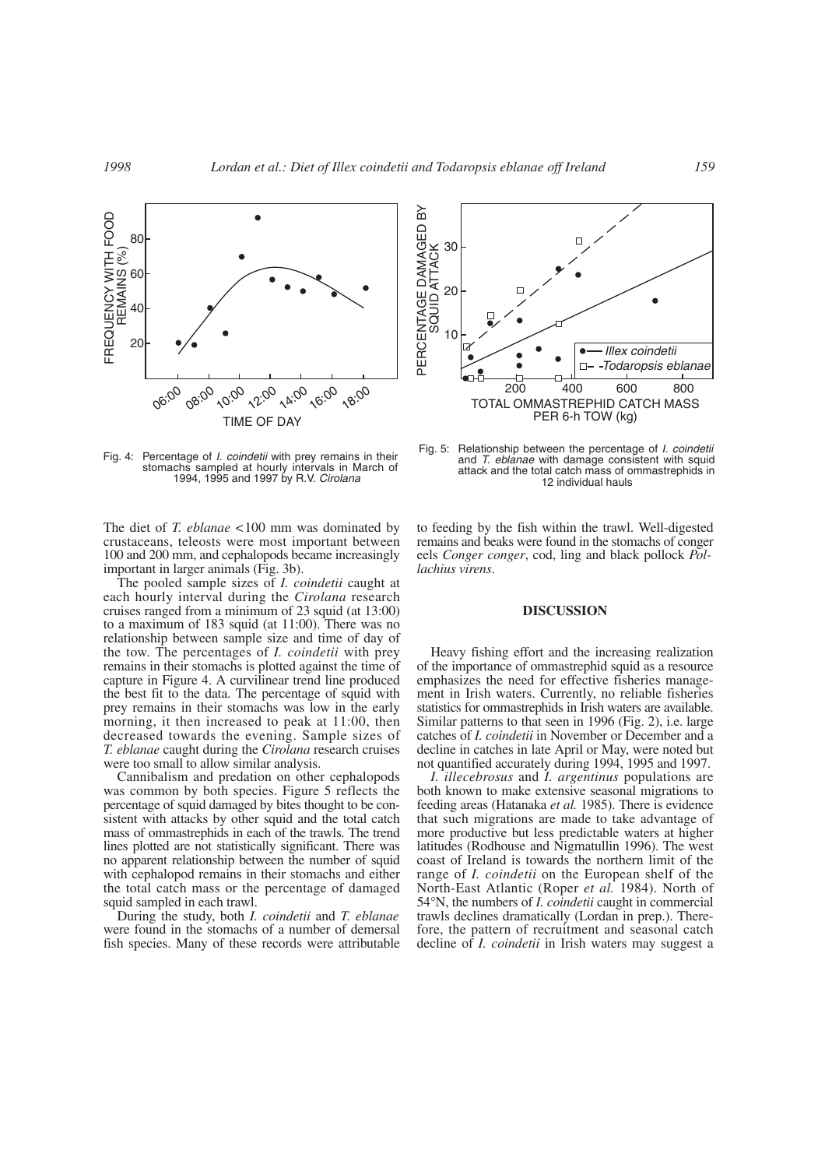

Fig. 4: Percentage of *I. coindetii* with prey remains in their stomachs sampled at hourly intervals in March of 1994, 1995 and 1997 by R.V. *Cirolana*

The diet of *T. eblanae* <100 mm was dominated by crustaceans, teleosts were most important between 100 and 200 mm, and cephalopods became increasingly important in larger animals (Fig. 3b).

The pooled sample sizes of *I. coindetii* caught at each hourly interval during the *Cirolana* research cruises ranged from a minimum of 23 squid (at 13:00) to a maximum of 183 squid (at 11:00). There was no relationship between sample size and time of day of the tow. The percentages of *I. coindetii* with prey remains in their stomachs is plotted against the time of capture in Figure 4. A curvilinear trend line produced the best fit to the data. The percentage of squid with prey remains in their stomachs was low in the early morning, it then increased to peak at 11:00, then decreased towards the evening. Sample sizes of *T. eblanae* caught during the *Cirolana* research cruises were too small to allow similar analysis.

Cannibalism and predation on other cephalopods was common by both species. Figure 5 reflects the percentage of squid damaged by bites thought to be consistent with attacks by other squid and the total catch mass of ommastrephids in each of the trawls. The trend lines plotted are not statistically significant. There was no apparent relationship between the number of squid with cephalopod remains in their stomachs and either the total catch mass or the percentage of damaged squid sampled in each trawl.

During the study, both *I. coindetii* and *T. eblanae* were found in the stomachs of a number of demersal fish species. Many of these records were attributable



Fig. 5: Relationship between the percentage of *I. coindetii* and *T. eblanae* with damage consistent with squid attack and the total catch mass of ommastrephids in 12 individual hauls

to feeding by the fish within the trawl. Well-digested remains and beaks were found in the stomachs of conger eels *Conger conger*, cod, ling and black pollock *Pollachius virens*.

#### **DISCUSSION**

Heavy fishing effort and the increasing realization of the importance of ommastrephid squid as a resource emphasizes the need for effective fisheries management in Irish waters. Currently, no reliable fisheries statistics for ommastrephids in Irish waters are available. Similar patterns to that seen in 1996 (Fig. 2), i.e. large catches of *I. coindetii* in November or December and a decline in catches in late April or May, were noted but not quantified accurately during 1994, 1995 and 1997.

*I. illecebrosus* and *I. argentinus* populations are both known to make extensive seasonal migrations to feeding areas (Hatanaka *et al.* 1985). There is evidence that such migrations are made to take advantage of more productive but less predictable waters at higher latitudes (Rodhouse and Nigmatullin 1996). The west coast of Ireland is towards the northern limit of the range of *I. coindetii* on the European shelf of the North-East Atlantic (Roper *et al.* 1984). North of 54°N, the numbers of *I. coindetii* caught in commercial trawls declines dramatically (Lordan in prep.). Therefore, the pattern of recruitment and seasonal catch decline of *I. coindetii* in Irish waters may suggest a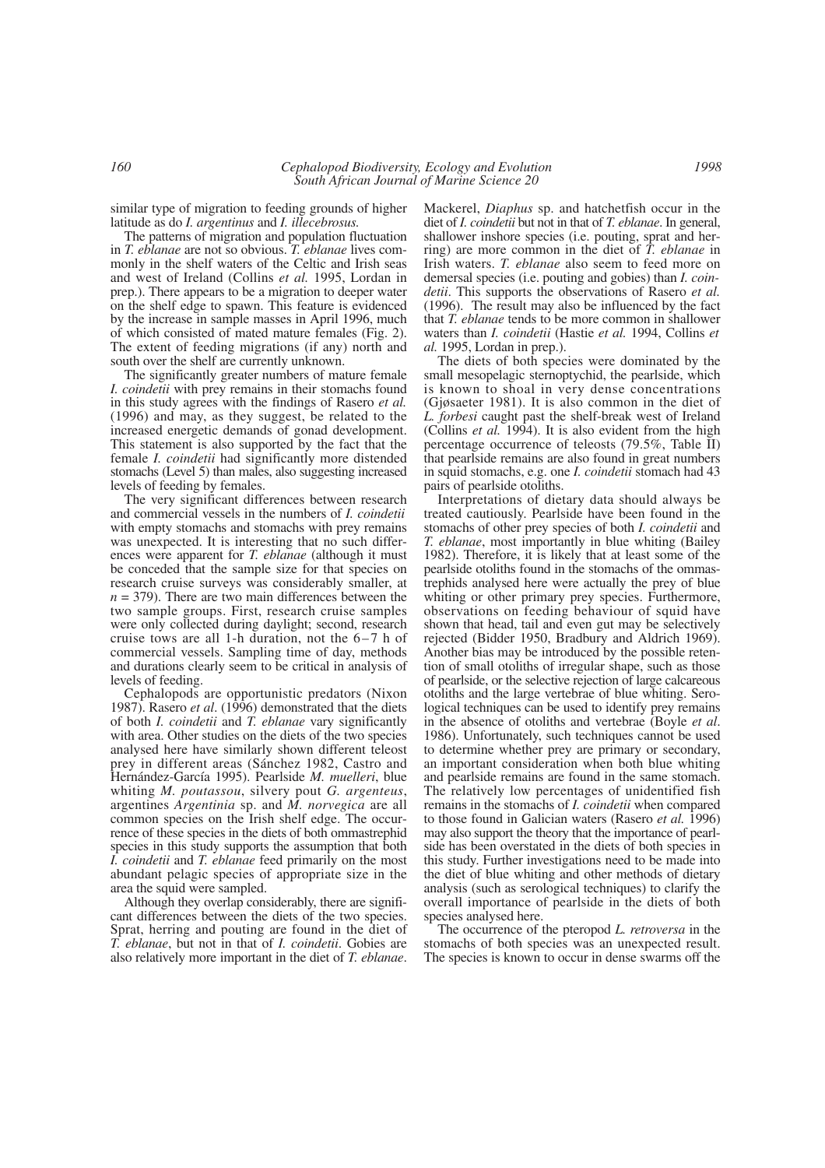similar type of migration to feeding grounds of higher latitude as do *I. argentinus* and *I. illecebrosus.*

The patterns of migration and population fluctuation in *T. eblanae* are not so obvious. *T. eblanae* lives commonly in the shelf waters of the Celtic and Irish seas and west of Ireland (Collins *et al.* 1995, Lordan in prep.). There appears to be a migration to deeper water on the shelf edge to spawn. This feature is evidenced by the increase in sample masses in April 1996, much of which consisted of mated mature females (Fig. 2). The extent of feeding migrations (if any) north and south over the shelf are currently unknown.

The significantly greater numbers of mature female *I. coindetii* with prey remains in their stomachs found in this study agrees with the findings of Rasero *et al.* (1996) and may, as they suggest, be related to the increased energetic demands of gonad development. This statement is also supported by the fact that the female *I. coindetii* had significantly more distended stomachs (Level 5) than males, also suggesting increased levels of feeding by females.

The very significant differences between research and commercial vessels in the numbers of *I. coindetii* with empty stomachs and stomachs with prey remains was unexpected. It is interesting that no such differences were apparent for *T. eblanae* (although it must be conceded that the sample size for that species on research cruise surveys was considerably smaller, at  $n = 379$ ). There are two main differences between the two sample groups. First, research cruise samples were only collected during daylight; second, research cruise tows are all 1-h duration, not the 6–7 h of commercial vessels. Sampling time of day, methods and durations clearly seem to be critical in analysis of levels of feeding.

Cephalopods are opportunistic predators (Nixon 1987). Rasero *et al*. (1996) demonstrated that the diets of both *I. coindetii* and *T. eblanae* vary significantly with area. Other studies on the diets of the two species analysed here have similarly shown different teleost prey in different areas (Sánchez 1982, Castro and Hernández-García 1995). Pearlside *M. muelleri*, blue whiting *M. poutassou*, silvery pout *G. argenteus*, argentines *Argentinia* sp. and *M. norvegica* are all common species on the Irish shelf edge. The occurrence of these species in the diets of both ommastrephid species in this study supports the assumption that both *I. coindetii* and *T. eblanae* feed primarily on the most abundant pelagic species of appropriate size in the area the squid were sampled.

Although they overlap considerably, there are significant differences between the diets of the two species. Sprat, herring and pouting are found in the diet of *T. eblanae*, but not in that of *I. coindetii*. Gobies are also relatively more important in the diet of *T. eblanae*.

Mackerel, *Diaphus* sp. and hatchetfish occur in the diet of *I. coindetii* but not in that of *T. eblanae*. In general, shallower inshore species (i.e. pouting, sprat and herring) are more common in the diet of *T. eblanae* in Irish waters. *T. eblanae* also seem to feed more on demersal species (i.e. pouting and gobies) than *I. coindetii*. This supports the observations of Rasero *et al.* (1996). The result may also be influenced by the fact that *T. eblanae* tends to be more common in shallower waters than *I. coindetii* (Hastie *et al.* 1994, Collins *et al.* 1995, Lordan in prep.).

The diets of both species were dominated by the small mesopelagic sternoptychid, the pearlside, which is known to shoal in very dense concentrations (Gjøsaeter 1981). It is also common in the diet of *L. forbesi* caught past the shelf-break west of Ireland (Collins *et al.* 1994). It is also evident from the high percentage occurrence of teleosts (79.5%, Table II) that pearlside remains are also found in great numbers in squid stomachs, e.g. one *I. coindetii* stomach had 43 pairs of pearlside otoliths.

Interpretations of dietary data should always be treated cautiously. Pearlside have been found in the stomachs of other prey species of both *I. coindetii* and *T. eblanae*, most importantly in blue whiting (Bailey 1982). Therefore, it is likely that at least some of the pearlside otoliths found in the stomachs of the ommastrephids analysed here were actually the prey of blue whiting or other primary prey species. Furthermore, observations on feeding behaviour of squid have shown that head, tail and even gut may be selectively rejected (Bidder 1950, Bradbury and Aldrich 1969). Another bias may be introduced by the possible retention of small otoliths of irregular shape, such as those of pearlside, or the selective rejection of large calcareous otoliths and the large vertebrae of blue whiting. Serological techniques can be used to identify prey remains in the absence of otoliths and vertebrae (Boyle *et al*. 1986). Unfortunately, such techniques cannot be used to determine whether prey are primary or secondary, an important consideration when both blue whiting and pearlside remains are found in the same stomach. The relatively low percentages of unidentified fish remains in the stomachs of *I. coindetii* when compared to those found in Galician waters (Rasero *et al.* 1996) may also support the theory that the importance of pearlside has been overstated in the diets of both species in this study. Further investigations need to be made into the diet of blue whiting and other methods of dietary analysis (such as serological techniques) to clarify the overall importance of pearlside in the diets of both species analysed here.

The occurrence of the pteropod *L. retroversa* in the stomachs of both species was an unexpected result. The species is known to occur in dense swarms off the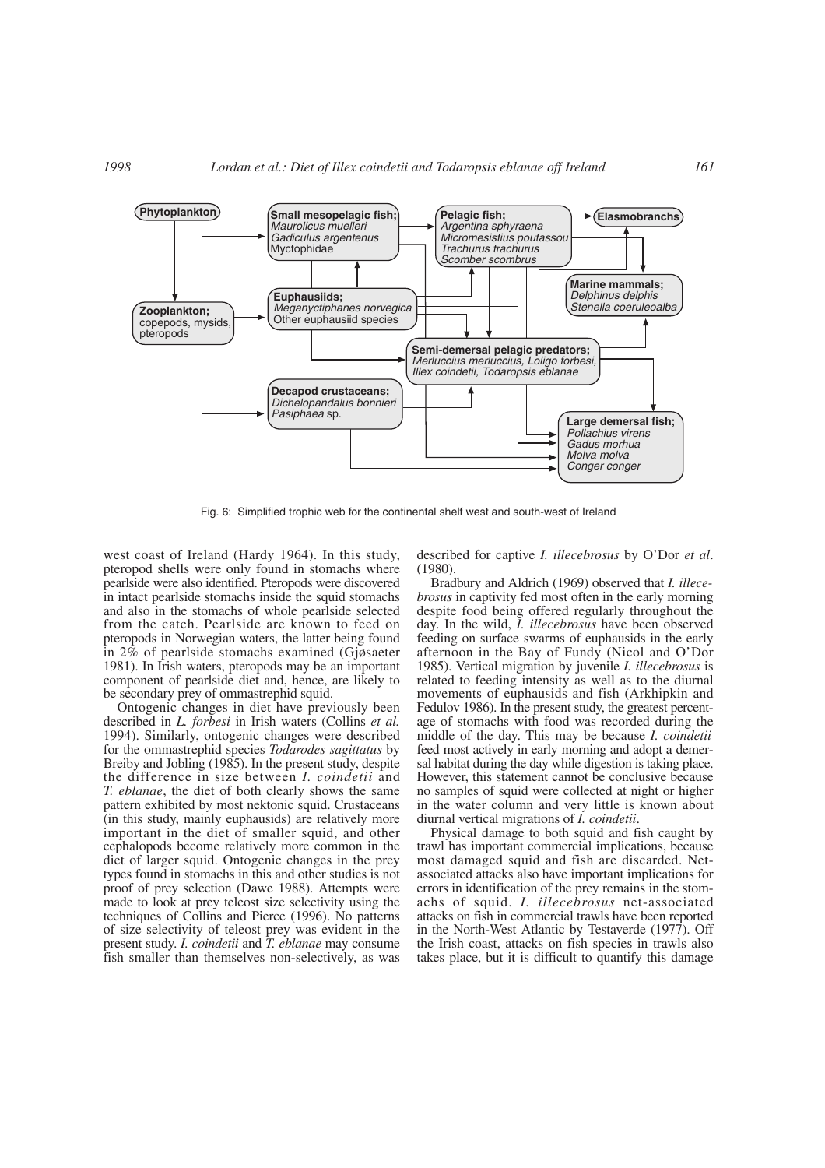

Fig. 6: Simplified trophic web for the continental shelf west and south-west of Ireland

west coast of Ireland (Hardy 1964). In this study, pteropod shells were only found in stomachs where pearlside were also identified. Pteropods were discovered in intact pearlside stomachs inside the squid stomachs and also in the stomachs of whole pearlside selected from the catch. Pearlside are known to feed on pteropods in Norwegian waters, the latter being found in 2% of pearlside stomachs examined (Gjøsaeter 1981). In Irish waters, pteropods may be an important component of pearlside diet and, hence, are likely to be secondary prey of ommastrephid squid.

Ontogenic changes in diet have previously been described in *L. forbesi* in Irish waters (Collins *et al.* 1994). Similarly, ontogenic changes were described for the ommastrephid species *Todarodes sagittatus* by Breiby and Jobling (1985). In the present study, despite the difference in size between *I. coindetii* and *T. eblanae*, the diet of both clearly shows the same pattern exhibited by most nektonic squid. Crustaceans (in this study, mainly euphausids) are relatively more important in the diet of smaller squid, and other cephalopods become relatively more common in the diet of larger squid. Ontogenic changes in the prey types found in stomachs in this and other studies is not proof of prey selection (Dawe 1988). Attempts were made to look at prey teleost size selectivity using the techniques of Collins and Pierce (1996). No patterns of size selectivity of teleost prey was evident in the present study. *I. coindetii* and *T. eblanae* may consume fish smaller than themselves non-selectively, as was

described for captive *I. illecebrosus* by O'Dor *et al*. (1980).

Bradbury and Aldrich (1969) observed that *I. illecebrosus* in captivity fed most often in the early morning despite food being offered regularly throughout the day. In the wild, *I. illecebrosus* have been observed feeding on surface swarms of euphausids in the early afternoon in the Bay of Fundy (Nicol and O'Dor 1985). Vertical migration by juvenile *I. illecebrosus* is related to feeding intensity as well as to the diurnal movements of euphausids and fish (Arkhipkin and Fedulov 1986). In the present study, the greatest percentage of stomachs with food was recorded during the middle of the day. This may be because *I. coindetii* feed most actively in early morning and adopt a demersal habitat during the day while digestion is taking place. However, this statement cannot be conclusive because no samples of squid were collected at night or higher in the water column and very little is known about diurnal vertical migrations of *I. coindetii*.

Physical damage to both squid and fish caught by trawl has important commercial implications, because most damaged squid and fish are discarded. Netassociated attacks also have important implications for errors in identification of the prey remains in the stomachs of squid. *I. illecebrosus* net-associated attacks on fish in commercial trawls have been reported in the North-West Atlantic by Testaverde (1977). Off the Irish coast, attacks on fish species in trawls also takes place, but it is difficult to quantify this damage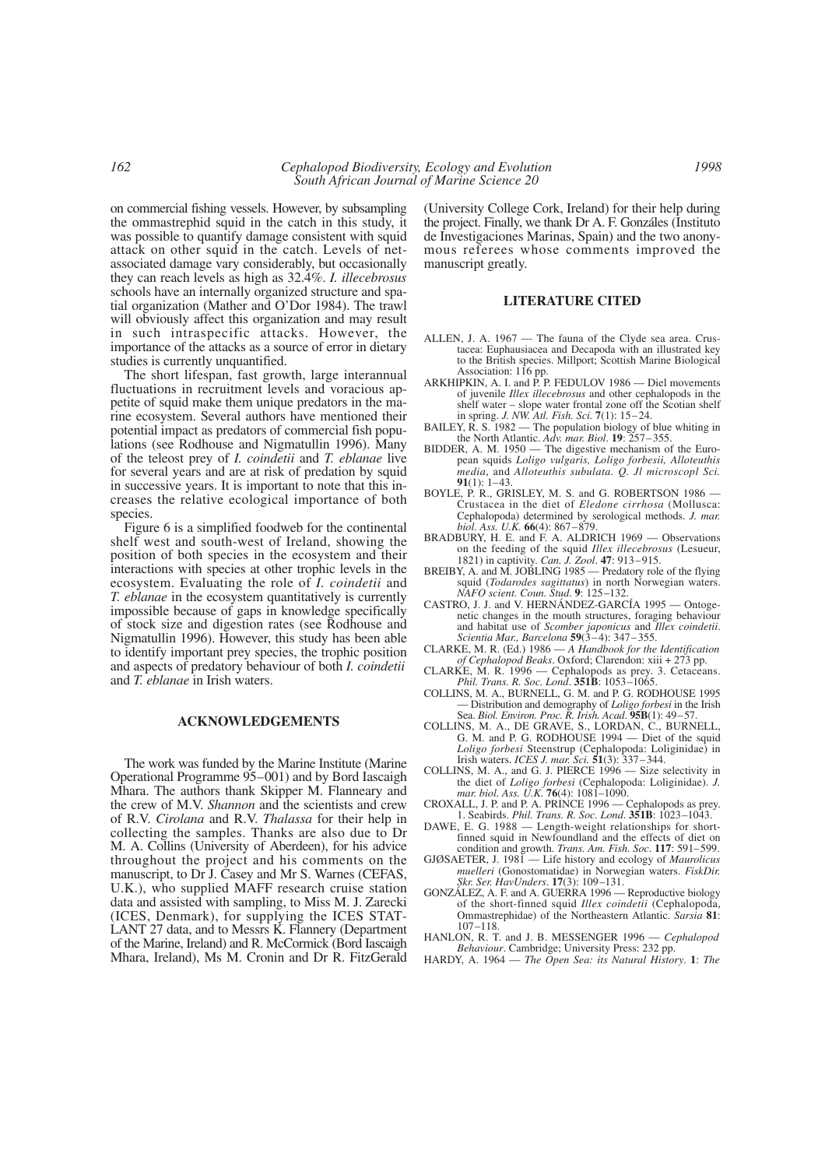on commercial fishing vessels. However, by subsampling the ommastrephid squid in the catch in this study, it was possible to quantify damage consistent with squid attack on other squid in the catch. Levels of netassociated damage vary considerably, but occasionally they can reach levels as high as 32.4%. *I. illecebrosus* schools have an internally organized structure and spatial organization (Mather and O'Dor 1984). The trawl will obviously affect this organization and may result in such intraspecific attacks. However, the importance of the attacks as a source of error in dietary studies is currently unquantified.

The short lifespan, fast growth, large interannual fluctuations in recruitment levels and voracious appetite of squid make them unique predators in the marine ecosystem. Several authors have mentioned their potential impact as predators of commercial fish populations (see Rodhouse and Nigmatullin 1996). Many of the teleost prey of *I. coindetii* and *T. eblanae* live for several years and are at risk of predation by squid in successive years. It is important to note that this increases the relative ecological importance of both species.

Figure 6 is a simplified foodweb for the continental shelf west and south-west of Ireland, showing the position of both species in the ecosystem and their interactions with species at other trophic levels in the ecosystem. Evaluating the role of *I. coindetii* and *T. eblanae* in the ecosystem quantitatively is currently impossible because of gaps in knowledge specifically of stock size and digestion rates (see Rodhouse and Nigmatullin 1996). However, this study has been able to identify important prey species, the trophic position and aspects of predatory behaviour of both *I. coindetii* and *T. eblanae* in Irish waters.

### **ACKNOWLEDGEMENTS**

The work was funded by the Marine Institute (Marine Operational Programme 95–001) and by Bord Iascaigh Mhara. The authors thank Skipper M. Flanneary and the crew of M.V. *Shannon* and the scientists and crew of R.V. *Cirolana* and R.V. *Thalassa* for their help in collecting the samples. Thanks are also due to Dr M. A. Collins (University of Aberdeen), for his advice throughout the project and his comments on the manuscript, to Dr J. Casey and Mr S. Warnes (CEFAS, U.K.), who supplied MAFF research cruise station data and assisted with sampling, to Miss M. J. Zarecki (ICES, Denmark), for supplying the ICES STAT-LANT 27 data, and to Messrs K. Flannery (Department of the Marine, Ireland) and R. McCormick (Bord Iascaigh Mhara, Ireland), Ms M. Cronin and Dr R. FitzGerald

(University College Cork, Ireland) for their help during the project. Finally, we thank Dr A. F. Gonzáles (Instituto de Investigaciones Marinas, Spain) and the two anonymous referees whose comments improved the manuscript greatly.

## **LITERATURE CITED**

- ALLEN, J. A. 1967 The fauna of the Clyde sea area. Crustacea: Euphausiacea and Decapoda with an illustrated key to the British species. Millport; Scottish Marine Biological Association: 116 pp.
- ARKHIPKIN, A. I. and P. P. FEDULOV 1986 Diel movements of juvenile *Illex illecebrosus* and other cephalopods in the shelf water – slope water frontal zone off the Scotian shelf in spring. *J. NW. Atl. Fish. Sci.* **7**(1): 15–24.
- BAILEY, R. S. 1982 The population biology of blue whiting in the North Atlantic. *Adv. mar. Biol*. **19**: 257–355.
- BIDDER, A. M. 1950 The digestive mechanism of the European squids *Loligo vulgaris, Loligo forbesii, Alloteuthis media*, and *Alloteuthis subulata. Q. Jl microscopl Sci.* **91**(1): 1–43.
- BOYLE, P. R., GRISLEY, M. S. and G. ROBERTSON 1986 Crustacea in the diet of *Eledone cirrhosa* (Mollusca: Cephalopoda) determined by serological methods. *J. mar. biol. Ass. U.K.* **66**(4): 867–879.
- BRADBURY, H. E. and F. A. ALDRICH 1969 Observations on the feeding of the squid *Illex illecebrosus* (Lesueur, 1821) in captivity. *Can. J. Zool*. **47**: 913–915.
- BREIBY, A. and M. JOBLING 1985 Predatory role of the flying squid (*Todarodes sagittatus*) in north Norwegian waters. *NAFO scient. Coun. Stud*. **9**: 125–132.
- CASTRO, J. J. and V. HERNÁNDEZ-GARCÍA 1995 Ontogenetic changes in the mouth structures, foraging behaviour and habitat use of *Scomber japonicus* and *Illex coindetii*. *Scientia Mar., Barcelona* **59**(3–4): 347–355.
- CLARKE, M. R. (Ed.) 1986 *A Handbook for the Identification of Cephalopod Beaks*. Oxford; Clarendon: xiii + 273 pp.
- CLARKE, M. R. 1996 Cephalopods as prey. 3. Cetaceans. *Phil. Trans. R. Soc. Lond*. **351B**: 1053–1065.
- COLLINS, M. A., BURNELL, G. M. and P. G. RODHOUSE 1995 — Distribution and demography of *Loligo forbesi* in the Irish Sea. *Biol. Environ. Proc. R. Irish. Acad*. **95B**(1): 49–57.
- COLLINS, M. A., DE GRAVE, S., LORDAN, C., BURNELL, G. M. and P. G. RODHOUSE 1994 — Diet of the squid *Loligo forbesi* Steenstrup (Cephalopoda: Loliginidae) in Irish waters. *ICES J. mar. Sci.* **51**(3): 337–344.
- COLLINS, M. A., and G. J. PIERCE 1996 Size selectivity in the diet of *Loligo forbesi* (Cephalopoda: Loliginidae). *J. mar. biol. Ass. U.K.* **76**(4): 1081–1090.
- CROXALL, J. P. and P. A. PRINCE 1996 Cephalopods as prey. 1. Seabirds. *Phil. Trans. R. Soc. Lond*. **351B**: 1023–1043.
- DAWE, E. G. 1988 Length-weight relationships for shortfinned squid in Newfoundland and the effects of diet on condition and growth. *Trans. Am. Fish. Soc*. **117**: 591–599.
- GJØSAETER, J. 1981 Life history and ecology of *Maurolicus muelleri* (Gonostomatidae) in Norwegian waters. *FiskDir. Skr. Ser. HavUnders*. **17**(3): 109–131.
- GONZÁLEZ, A. F. and A. GUERRA 1996 Reproductive biology of the short-finned squid *Illex coindetii* (Cephalopoda, Ommastrephidae) of the Northeastern Atlantic. *Sarsia* **81**: 107–118.
- HANLON, R. T. and J. B. MESSENGER 1996 *Cephalopod Behaviour*. Cambridge; University Press: 232 pp.
- HARDY, A. 1964 *The Open Sea: its Natural History*. **1**: *The*